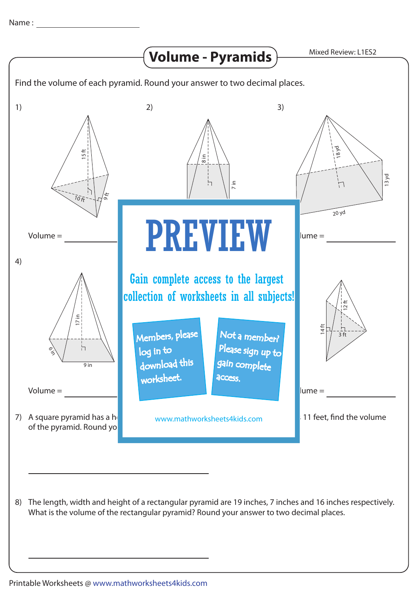